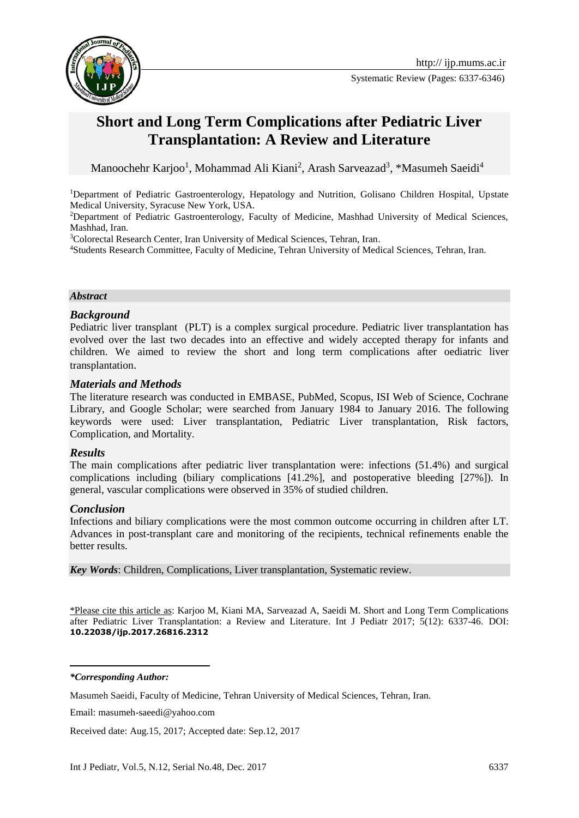

Systematic Review (Pages: 6337-6346)

# **Short and Long Term Complications after Pediatric Liver Transplantation: A Review and Literature**

Manoochehr Karjoo<sup>1</sup>, Mohammad Ali Kiani<sup>2</sup>, Arash Sarveazad<sup>3</sup>, \*Masumeh Saeidi<sup>4</sup>

<sup>1</sup>Department of Pediatric Gastroenterology, Hepatology and Nutrition, Golisano Children Hospital, Upstate Medical University, Syracuse New York, USA.

<sup>2</sup>Department of Pediatric Gastroenterology, Faculty of Medicine, Mashhad University of Medical Sciences, Mashhad, Iran.

<sup>3</sup>Colorectal Research Center, Iran University of Medical Sciences, Tehran, Iran.

<sup>4</sup>Students Research Committee, Faculty of Medicine, Tehran University of Medical Sciences, Tehran, Iran.

#### *Abstract*

#### *Background*

Pediatric liver transplant (PLT) is a complex surgical procedure. Pediatric liver transplantation has evolved over the last two decades into an effective and widely accepted therapy for infants and children. We aimed to review the short and long term complications after oediatric liver transplantation.

#### *Materials and Methods*

The literature research was conducted in EMBASE, PubMed, Scopus, ISI Web of Science, Cochrane Library, and Google Scholar; were searched from January 1984 to January 2016. The following keywords were used: Liver transplantation, Pediatric Liver transplantation, Risk factors, Complication, and Mortality.

#### *Results*

The main complications after pediatric liver transplantation were: infections (51.4%) and surgical complications including (biliary complications [41.2%], and postoperative bleeding [27%]). In general, vascular complications were observed in 35% of studied children.

#### *Conclusion*

Infections and biliary complications were the most common outcome occurring in children after LT. Advances in post-transplant care and monitoring of the recipients, technical refinements enable the better results.

*Key Words*: Children, Complications, Liver transplantation, Systematic review.

\*Please cite this article as: Karjoo M, Kiani MA, Sarveazad A, Saeidi M. Short and Long Term Complications after Pediatric Liver Transplantation: a Review and Literature. Int J Pediatr 2017; 5(12): 6337-46. DOI: **10.22038/ijp.2017.26816.2312**

*\*Corresponding Author:*

**.** 

Masumeh Saeidi, Faculty of Medicine, Tehran University of Medical Sciences, Tehran, Iran.

Email: masumeh-saeedi@yahoo.com

Received date: Aug.15, 2017; Accepted date: Sep.12, 2017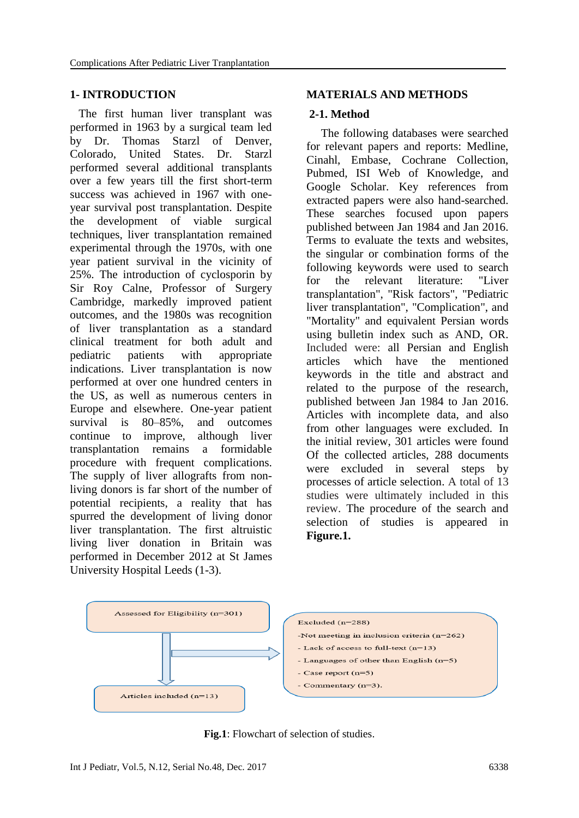#### **1- INTRODUCTION**

 The first human liver transplant was performed in 1963 by a surgical team led by Dr. Thomas Starzl of Denver, Colorado, United States. Dr. Starzl performed several additional transplants over a few years till the first short-term success was achieved in 1967 with oneyear survival post transplantation. Despite the development of viable surgical techniques, liver transplantation remained experimental through the 1970s, with one year patient survival in the vicinity of 25%. The introduction of cyclosporin by Sir Roy Calne, Professor of Surgery Cambridge, markedly improved patient outcomes, and the 1980s was recognition of liver transplantation as a standard clinical treatment for both adult and pediatric patients with appropriate indications. Liver transplantation is now performed at over one hundred centers in the US, as well as numerous centers in Europe and elsewhere. One-year patient survival is 80–85%, and outcomes continue to improve, although liver transplantation remains a formidable procedure with frequent complications. The supply of liver allografts from nonliving donors is far short of the number of potential recipients, a reality that has spurred the development of living donor liver transplantation. The first altruistic living liver donation in Britain was performed in December 2012 at St James University Hospital Leeds (1-3).

#### **MATERIALS AND METHODS**

#### **2-1. Method**

 The following databases were searched for relevant papers and reports: Medline, Cinahl, Embase, Cochrane Collection, Pubmed, ISI Web of Knowledge, and Google Scholar. Key references from extracted papers were also hand-searched. These searches focused upon papers published between Jan 1984 and Jan 2016. Terms to evaluate the texts and websites, the singular or combination forms of the following keywords were used to search for the relevant literature: "Liver transplantation", "Risk factors", "Pediatric liver transplantation", "Complication", and "Mortality" and equivalent Persian words using bulletin index such as AND, OR. Included were: all Persian and English articles which have the mentioned keywords in the title and abstract and related to the purpose of the research, published between Jan 1984 to Jan 2016. Articles with incomplete data, and also from other languages were excluded. In the initial review, 301 articles were found Of the collected articles, 288 documents were excluded in several steps by processes of article selection. A total of 13 studies were ultimately included in this review. The procedure of the search and selection of studies is appeared in **Figure.1.**



**Fig.1**: Flowchart of selection of studies.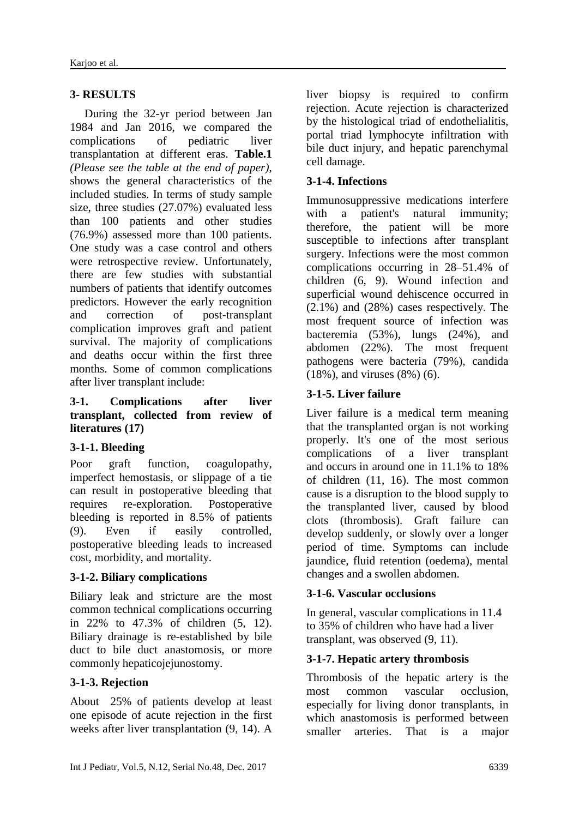# **3- RESULTS**

 During the 32-yr period between Jan 1984 and Jan 2016, we compared the complications of pediatric liver transplantation at different eras. **Table.1** *(Please see the table at the end of paper)*, shows the general characteristics of the included studies. In terms of study sample size, three studies (27.07%) evaluated less than 100 patients and other studies (76.9%) assessed more than 100 patients. One study was a case control and others were retrospective review. Unfortunately, there are few studies with substantial numbers of patients that identify outcomes predictors. However the early recognition and correction of post-transplant complication improves graft and patient survival. The majority of complications and deaths occur within the first three months. Some of common complications after liver transplant include:

#### **3-1. Complications after liver transplant, collected from review of literatures (17)**

# **3-1-1. Bleeding**

Poor graft function, coagulopathy, imperfect hemostasis, or slippage of a tie can result in postoperative bleeding that requires re-exploration. Postoperative bleeding is reported in 8.5% of patients (9). Even if easily controlled, postoperative bleeding leads to increased cost, morbidity, and mortality.

# **3-1-2. Biliary complications**

Biliary leak and stricture are the most common technical complications occurring in 22% to 47.3% of children (5, 12). Biliary drainage is re-established by bile duct to bile duct anastomosis, or more commonly hepaticojejunostomy.

### **3-1-3. Rejection**

About 25% of patients develop at least one episode of acute rejection in the first weeks after liver transplantation (9, 14). A liver biopsy is required to confirm rejection. Acute rejection is characterized by the histological triad of endothelialitis, portal triad lymphocyte infiltration with bile duct injury, and hepatic parenchymal cell damage.

# **3-1-4. Infections**

Immunosuppressive medications interfere with a patient's natural immunity; therefore, the patient will be more susceptible to infections after transplant surgery. Infections were the most common complications occurring in 28–51.4% of children (6, 9). Wound infection and superficial wound dehiscence occurred in (2.1%) and (28%) cases respectively. The most frequent source of infection was bacteremia (53%), lungs (24%), and abdomen (22%). The most frequent pathogens were bacteria (79%), candida (18%), and viruses (8%) (6).

# **3-1-5. Liver failure**

Liver failure is a medical term meaning that the transplanted organ is not working properly. It's one of the most serious complications of a liver transplant and occurs in around one in 11.1% to 18% of children (11, 16). The most common cause is a disruption to the blood supply to the transplanted liver, caused by blood clots (thrombosis). Graft failure can develop suddenly, or slowly over a longer period of time. Symptoms can include jaundice, fluid retention (oedema), mental changes and a swollen abdomen.

### **3-1-6. Vascular occlusions**

In general, vascular complications in 11.4 to 35% of children who have had a liver transplant, was observed (9, 11).

### **3-1-7. Hepatic artery thrombosis**

Thrombosis of the hepatic artery is the most common vascular occlusion, especially for living donor transplants, in which anastomosis is performed between smaller arteries. That is a major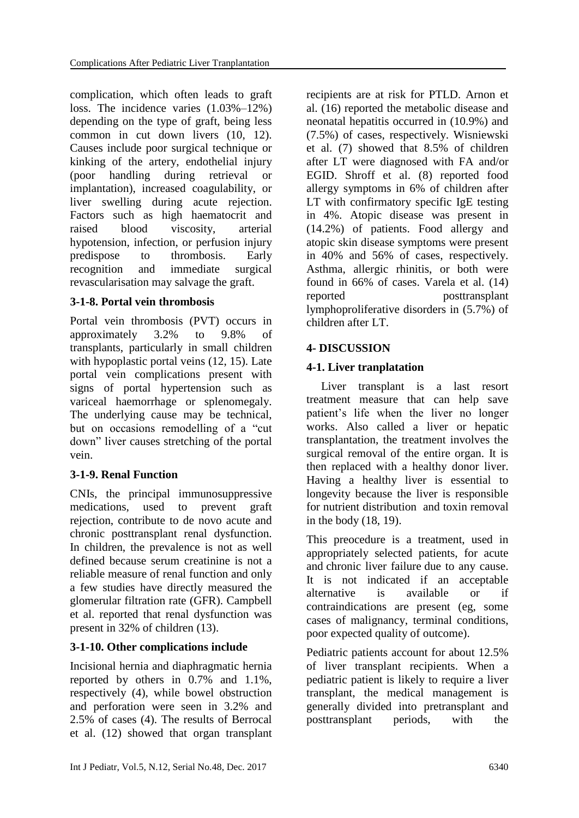complication, which often leads to graft loss. The incidence varies (1.03%–12%) depending on the type of graft, being less common in cut down livers (10, 12). Causes include poor surgical technique or kinking of the artery, endothelial injury (poor handling during retrieval or implantation), increased coagulability, or liver swelling during acute rejection. Factors such as high haematocrit and raised blood viscosity, arterial hypotension, infection, or perfusion injury predispose to thrombosis. Early recognition and immediate surgical revascularisation may salvage the graft.

### **3-1-8. Portal vein thrombosis**

Portal vein thrombosis (PVT) occurs in approximately 3.2% to 9.8% of transplants, particularly in small children with hypoplastic portal veins (12, 15). Late portal vein complications present with signs of portal hypertension such as variceal haemorrhage or splenomegaly. The underlying cause may be technical, but on occasions remodelling of a "cut down" liver causes stretching of the portal vein.

### **3-1-9. Renal Function**

CNIs, the principal immunosuppressive medications, used to prevent graft rejection, contribute to de novo acute and chronic posttransplant renal dysfunction. In children, the prevalence is not as well defined because serum creatinine is not a reliable measure of renal function and only a few studies have directly measured the glomerular filtration rate (GFR). Campbell et al. reported that renal dysfunction was present in 32% of children (13).

### **3-1-10. Other complications include**

Incisional hernia and diaphragmatic hernia reported by others in 0.7% and 1.1%, respectively (4), while bowel obstruction and perforation were seen in 3.2% and 2.5% of cases (4). The results of Berrocal et al. (12) showed that organ transplant recipients are at risk for PTLD. Arnon et al. (16) reported the metabolic disease and neonatal hepatitis occurred in (10.9%) and (7.5%) of cases, respectively. Wisniewski et al. (7) showed that 8.5% of children after LT were diagnosed with FA and/or EGID. Shroff et al. (8) reported food allergy symptoms in 6% of children after LT with confirmatory specific IgE testing in 4%. Atopic disease was present in (14.2%) of patients. Food allergy and atopic skin disease symptoms were present in 40% and 56% of cases, respectively. Asthma, allergic rhinitis, or both were found in 66% of cases. Varela et al. (14) reported posttransplant lymphoproliferative disorders in (5.7%) of children after LT.

### **4- DISCUSSION**

### **4-1. Liver tranplatation**

 Liver transplant is a last resort treatment measure that can help save patient's life when the liver no longer works. Also called a liver or hepatic transplantation, the treatment involves the surgical removal of the entire organ. It is then replaced with a healthy donor liver. Having a healthy liver is essential to longevity because the liver is responsible for nutrient distribution and toxin removal in the body (18, 19).

This preocedure is a treatment, used in appropriately selected patients, for acute and chronic liver failure due to any cause. It is not indicated if an acceptable alternative is available or if contraindications are present (eg, some cases of malignancy, terminal conditions, poor expected quality of outcome).

Pediatric patients account for about 12.5% of liver transplant recipients. When a pediatric patient is likely to require a liver transplant, the medical management is generally divided into pretransplant and posttransplant periods, with the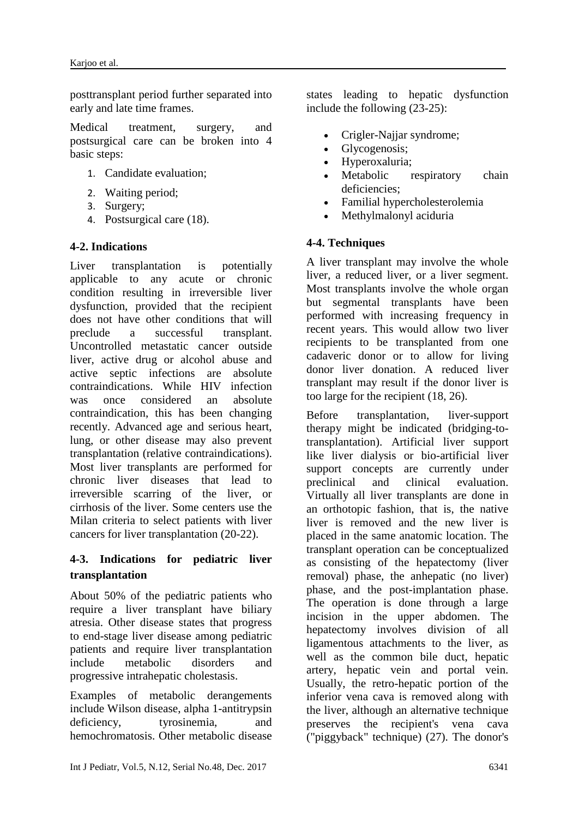posttransplant period further separated into early and late time frames.

Medical treatment, surgery, and postsurgical care can be broken into 4 basic steps:

- 1. Candidate evaluation;
- 2. Waiting period;
- 3. Surgery;
- 4. Postsurgical care (18).

### **4-2. Indications**

Liver transplantation is potentially applicable to any acute or chronic condition resulting in irreversible liver dysfunction, provided that the recipient does not have other conditions that will preclude a successful transplant. Uncontrolled metastatic cancer outside liver, active drug or alcohol abuse and active septic infections are absolute contraindications. While HIV infection was once considered an absolute contraindication, this has been changing recently. Advanced age and serious heart, lung, or other disease may also prevent transplantation (relative contraindications). Most liver transplants are performed for chronic liver diseases that lead to irreversible scarring of the liver, or cirrhosis of the liver. Some centers use the Milan criteria to select patients with liver cancers for liver transplantation (20-22).

# **4-3. Indications for pediatric liver transplantation**

About 50% of the pediatric patients who require a liver transplant have biliary atresia. Other disease states that progress to end-stage liver disease among pediatric patients and require liver transplantation include metabolic disorders and progressive intrahepatic cholestasis.

Examples of metabolic derangements include Wilson disease, alpha 1-antitrypsin deficiency, tyrosinemia, and hemochromatosis. Other metabolic disease

states leading to hepatic dysfunction include the following (23-25):

- Crigler-Najjar syndrome;
- Glycogenosis;
- Hyperoxaluria;
- Metabolic respiratory chain deficiencies;
- Familial hypercholesterolemia
- Methylmalonyl aciduria

# **4-4. Techniques**

A liver transplant may involve the whole liver, a reduced liver, or a liver segment. Most transplants involve the whole organ but segmental transplants have been performed with increasing frequency in recent years. This would allow two liver recipients to be transplanted from one cadaveric donor or to allow for living donor liver donation. A reduced liver transplant may result if the donor liver is too large for the recipient (18, 26).

Before transplantation, liver-support therapy might be indicated (bridging-totransplantation). Artificial liver support like liver dialysis or bio-artificial liver support concepts are currently under preclinical and clinical evaluation. Virtually all liver transplants are done in an orthotopic fashion, that is, the native liver is removed and the new liver is placed in the same anatomic location. The transplant operation can be conceptualized as consisting of the hepatectomy (liver removal) phase, the anhepatic (no liver) phase, and the post-implantation phase. The operation is done through a large incision in the upper abdomen. The hepatectomy involves division of all ligamentous attachments to the liver, as well as the common bile duct, hepatic artery, hepatic vein and portal vein. Usually, the retro-hepatic portion of the inferior vena cava is removed along with the liver, although an alternative technique preserves the recipient's vena cava ("piggyback" technique) (27). The donor's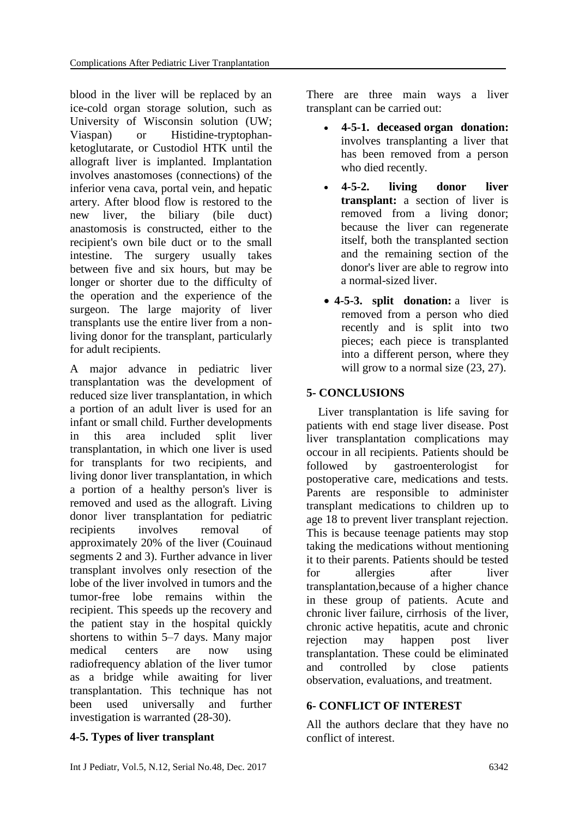blood in the liver will be replaced by an ice-cold organ storage solution, such as University of Wisconsin solution (UW; Viaspan) or Histidine-tryptophanketoglutarate, or Custodiol HTK until the allograft liver is implanted. Implantation involves anastomoses (connections) of the inferior vena cava, portal vein, and hepatic artery. After blood flow is restored to the new liver, the biliary (bile duct) anastomosis is constructed, either to the recipient's own bile duct or to the small intestine. The surgery usually takes between five and six hours, but may be longer or shorter due to the difficulty of the operation and the experience of the surgeon. The large majority of liver transplants use the entire liver from a nonliving donor for the transplant, particularly for adult recipients.

A major advance in pediatric liver transplantation was the development of reduced size liver transplantation, in which a portion of an adult liver is used for an infant or small child. Further developments in this area included split liver transplantation, in which one liver is used for transplants for two recipients, and living donor liver transplantation, in which a portion of a healthy person's liver is removed and used as the allograft. Living donor liver transplantation for pediatric recipients involves removal of approximately 20% of the liver (Couinaud segments 2 and 3). Further advance in liver transplant involves only resection of the lobe of the liver involved in tumors and the tumor-free lobe remains within the recipient. This speeds up the recovery and the patient stay in the hospital quickly shortens to within 5–7 days. Many major medical centers are now using radiofrequency ablation of the liver tumor as a bridge while awaiting for liver transplantation. This technique has not been used universally and further investigation is warranted (28-30).

### **4-5. Types of liver transplant**

There are three main ways a liver transplant can be carried out:

- **4-5-1. deceased organ donation:** involves transplanting a liver that has been removed from a person who died recently.
- **4-5-2. living donor liver transplant:** a section of liver is removed from a living donor; because the liver can regenerate itself, both the transplanted section and the remaining section of the donor's liver are able to regrow into a normal-sized liver.
- **4-5-3. split donation:** a liver is removed from a person who died recently and is split into two pieces; each piece is transplanted into a different person, where they will grow to a normal size  $(23, 27)$ .

# **5- CONCLUSIONS**

 Liver transplantation is life saving for patients with end stage liver disease. Post liver transplantation complications may occour in all recipients. Patients should be followed by gastroenterologist for postoperative care, medications and tests. Parents are responsible to administer transplant medications to children up to age 18 to prevent liver transplant rejection. This is because teenage patients may stop taking the medications without mentioning it to their parents. Patients should be tested for allergies after liver transplantation,because of a higher chance in these group of patients. Acute and chronic liver failure, cirrhosis of the liver, chronic active hepatitis, acute and chronic rejection may happen post liver transplantation. These could be eliminated and controlled by close patients observation, evaluations, and treatment.

### **6- CONFLICT OF INTEREST**

All the authors declare that they have no conflict of interest.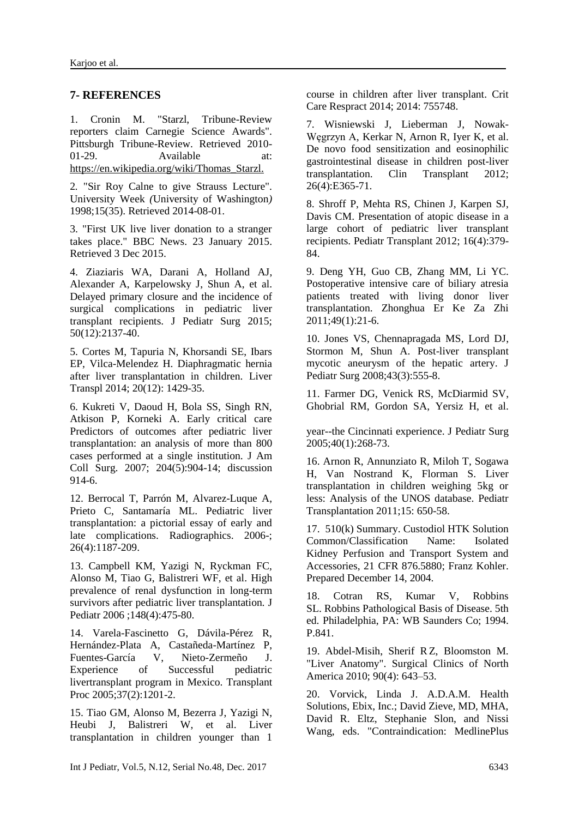#### **7- REFERENCES**

1. Cronin M. "Starzl, Tribune-Review reporters claim Carnegie Science Awards". Pittsburgh Tribune-Review. Retrieved 2010- 01-29. Available at: https://en.wikipedia.org/wiki/Thomas\_Starzl.

2*.* "Sir Roy Calne to give Strauss Lecture"*.*  University Week *(*University of Washington*)*  1998;15(35). Retrieved 2014-08-01.

3. "First UK live liver donation to a stranger takes place." BBC News. 23 January 2015. Retrieved 3 Dec 2015.

4. [Ziaziaris WA,](http://www.ncbi.nlm.nih.gov/pubmed/?term=Ziaziaris%20WA%5BAuthor%5D&cauthor=true&cauthor_uid=26388124) [Darani A,](http://www.ncbi.nlm.nih.gov/pubmed/?term=Darani%20A%5BAuthor%5D&cauthor=true&cauthor_uid=26388124) [Holland AJ,](http://www.ncbi.nlm.nih.gov/pubmed/?term=Holland%20AJ%5BAuthor%5D&cauthor=true&cauthor_uid=26388124) [Alexander A,](http://www.ncbi.nlm.nih.gov/pubmed/?term=Alexander%20A%5BAuthor%5D&cauthor=true&cauthor_uid=26388124) [Karpelowsky J,](http://www.ncbi.nlm.nih.gov/pubmed/?term=Karpelowsky%20J%5BAuthor%5D&cauthor=true&cauthor_uid=26388124) [Shun A,](http://www.ncbi.nlm.nih.gov/pubmed/?term=Shun%20A%5BAuthor%5D&cauthor=true&cauthor_uid=26388124) et al. [Delayed primary closure and the incidence of](http://www.ncbi.nlm.nih.gov/pubmed/26388124)  [surgical complications in pediatric liver](http://www.ncbi.nlm.nih.gov/pubmed/26388124)  [transplant recipients.](http://www.ncbi.nlm.nih.gov/pubmed/26388124) J Pediatr Surg 2015; 50(12):2137-40.

5. Cortes M, Tapuria N, Khorsandi SE, Ibars EP, Vilca-Melendez H. Diaphragmatic hernia after liver transplantation in children. Liver Transpl 2014; 20(12): 1429-35.

6. Kukreti V, Daoud H, Bola SS, Singh RN, Atkison P, Korneki A. Early critical care [Predictors of outcomes after pediatric liver](http://www.ncbi.nlm.nih.gov/pubmed/17481508)  [transplantation: an analysis of more than 800](http://www.ncbi.nlm.nih.gov/pubmed/17481508)  [cases performed at a single institution.](http://www.ncbi.nlm.nih.gov/pubmed/17481508) J Am Coll Surg. 2007; 204(5):904-14; discussion 914-6.

12. [Berrocal T,](http://www.ncbi.nlm.nih.gov/pubmed/?term=Berrocal%20T%5BAuthor%5D&cauthor=true&cauthor_uid=16844941) [Parrón M,](http://www.ncbi.nlm.nih.gov/pubmed/?term=Parr%C3%B3n%20M%5BAuthor%5D&cauthor=true&cauthor_uid=16844941) [Alvarez-Luque A,](http://www.ncbi.nlm.nih.gov/pubmed/?term=Alvarez-Luque%20A%5BAuthor%5D&cauthor=true&cauthor_uid=16844941) [Prieto C,](http://www.ncbi.nlm.nih.gov/pubmed/?term=Prieto%20C%5BAuthor%5D&cauthor=true&cauthor_uid=16844941) [Santamaría ML.](http://www.ncbi.nlm.nih.gov/pubmed/?term=Santamar%C3%ADa%20ML%5BAuthor%5D&cauthor=true&cauthor_uid=16844941) [Pediatric liver](http://www.ncbi.nlm.nih.gov/pubmed/16844941)  [transplantation: a pictorial essay of early and](http://www.ncbi.nlm.nih.gov/pubmed/16844941)  [late complications.](http://www.ncbi.nlm.nih.gov/pubmed/16844941) Radiographics. 2006-; 26(4):1187-209.

13. [Campbell KM,](http://www.ncbi.nlm.nih.gov/pubmed/?term=Campbell%20KM%5BAuthor%5D&cauthor=true&cauthor_uid=16647407) [Yazigi N,](http://www.ncbi.nlm.nih.gov/pubmed/?term=Yazigi%20N%5BAuthor%5D&cauthor=true&cauthor_uid=16647407) [Ryckman FC,](http://www.ncbi.nlm.nih.gov/pubmed/?term=Ryckman%20FC%5BAuthor%5D&cauthor=true&cauthor_uid=16647407) [Alonso M,](http://www.ncbi.nlm.nih.gov/pubmed/?term=Alonso%20M%5BAuthor%5D&cauthor=true&cauthor_uid=16647407) [Tiao G,](http://www.ncbi.nlm.nih.gov/pubmed/?term=Tiao%20G%5BAuthor%5D&cauthor=true&cauthor_uid=16647407) [Balistreri WF,](http://www.ncbi.nlm.nih.gov/pubmed/?term=Balistreri%20WF%5BAuthor%5D&cauthor=true&cauthor_uid=16647407) et al. [High](http://www.ncbi.nlm.nih.gov/pubmed/16647407)  [prevalence of renal dysfunction in long-term](http://www.ncbi.nlm.nih.gov/pubmed/16647407)  [survivors after pediatric liver transplantation.](http://www.ncbi.nlm.nih.gov/pubmed/16647407) J Pediatr 2006 ;148(4):475-80.

14. [Varela-Fascinetto G,](http://www.ncbi.nlm.nih.gov/pubmed/?term=Varela-Fascinetto%20G%5BAuthor%5D&cauthor=true&cauthor_uid=16524068) [Dávila-Pérez R,](http://www.ncbi.nlm.nih.gov/pubmed/?term=D%C3%A1vila-P%C3%A9rez%20R%5BAuthor%5D&cauthor=true&cauthor_uid=16524068) [Hernández-Plata A,](http://www.ncbi.nlm.nih.gov/pubmed/?term=Hern%C3%A1ndez-Plata%20A%5BAuthor%5D&cauthor=true&cauthor_uid=16524068) [Castañeda-Martínez P,](http://www.ncbi.nlm.nih.gov/pubmed/?term=Casta%C3%B1eda-Mart%C3%ADnez%20P%5BAuthor%5D&cauthor=true&cauthor_uid=16524068) [Fuentes-García V,](http://www.ncbi.nlm.nih.gov/pubmed/?term=Fuentes-Garc%C3%ADa%20V%5BAuthor%5D&cauthor=true&cauthor_uid=16524068) [Nieto-Zermeño J.](http://www.ncbi.nlm.nih.gov/pubmed/?term=Nieto-Zerme%C3%B1o%20J%5BAuthor%5D&cauthor=true&cauthor_uid=16524068) Experience of Successful pediatric livertransplant program in Mexico. [Transplant](http://www.ncbi.nlm.nih.gov/pubmed/?term=Varela-Fascinetto+G1%2C+D%C3%A1vila-P%C3%A9rez+R%2C+Hern%C3%A1ndez-Plata+A%2C+Casta%C3%B1eda-Mart%C3%ADnez+P%2C+Fuentes-Garc%C3%ADa+V%2C+Nieto-Zerme%C3%B1o+J.)  [Proc](http://www.ncbi.nlm.nih.gov/pubmed/?term=Varela-Fascinetto+G1%2C+D%C3%A1vila-P%C3%A9rez+R%2C+Hern%C3%A1ndez-Plata+A%2C+Casta%C3%B1eda-Mart%C3%ADnez+P%2C+Fuentes-Garc%C3%ADa+V%2C+Nieto-Zerme%C3%B1o+J.) 2005;37(2):1201-2.

15. [Tiao GM,](http://www.ncbi.nlm.nih.gov/pubmed/?term=Tiao%20GM%5BAuthor%5D&cauthor=true&cauthor_uid=15868596) [Alonso M,](http://www.ncbi.nlm.nih.gov/pubmed/?term=Alonso%20M%5BAuthor%5D&cauthor=true&cauthor_uid=15868596) [Bezerra J,](http://www.ncbi.nlm.nih.gov/pubmed/?term=Bezerra%20J%5BAuthor%5D&cauthor=true&cauthor_uid=15868596) [Yazigi N,](http://www.ncbi.nlm.nih.gov/pubmed/?term=Yazigi%20N%5BAuthor%5D&cauthor=true&cauthor_uid=15868596) [Heubi J,](http://www.ncbi.nlm.nih.gov/pubmed/?term=Heubi%20J%5BAuthor%5D&cauthor=true&cauthor_uid=15868596) [Balistreri W,](http://www.ncbi.nlm.nih.gov/pubmed/?term=Balistreri%20W%5BAuthor%5D&cauthor=true&cauthor_uid=15868596) et al. [Liver](http://www.ncbi.nlm.nih.gov/pubmed/15868596)  [transplantation in children younger than 1](http://www.ncbi.nlm.nih.gov/pubmed/15868596) 

course in children after liver transplant. Crit Care Respract 2014; 2014: 755748.

7. [Wisniewski J,](http://www.ncbi.nlm.nih.gov/pubmed/?term=Wisniewski%20J%5BAuthor%5D&cauthor=true&cauthor_uid=22694084) [Lieberman J,](http://www.ncbi.nlm.nih.gov/pubmed/?term=Lieberman%20J%5BAuthor%5D&cauthor=true&cauthor_uid=22694084) [Nowak-](http://www.ncbi.nlm.nih.gov/pubmed/?term=Nowak-W%C4%99grzyn%20A%5BAuthor%5D&cauthor=true&cauthor_uid=22694084)[Węgrzyn A,](http://www.ncbi.nlm.nih.gov/pubmed/?term=Nowak-W%C4%99grzyn%20A%5BAuthor%5D&cauthor=true&cauthor_uid=22694084) [Kerkar N,](http://www.ncbi.nlm.nih.gov/pubmed/?term=Kerkar%20N%5BAuthor%5D&cauthor=true&cauthor_uid=22694084) [Arnon R,](http://www.ncbi.nlm.nih.gov/pubmed/?term=Arnon%20R%5BAuthor%5D&cauthor=true&cauthor_uid=22694084) [Iyer K,](http://www.ncbi.nlm.nih.gov/pubmed/?term=Iyer%20K%5BAuthor%5D&cauthor=true&cauthor_uid=22694084) et al. [De novo food sensitization and eosinophilic](http://www.ncbi.nlm.nih.gov/pubmed/22694084)  [gastrointestinal disease in children post-liver](http://www.ncbi.nlm.nih.gov/pubmed/22694084)  [transplantation.](http://www.ncbi.nlm.nih.gov/pubmed/22694084) Clin Transplant 2012; 26(4):E365-71.

8. [Shroff P,](http://www.ncbi.nlm.nih.gov/pubmed/?term=Shroff%20P%5BAuthor%5D&cauthor=true&cauthor_uid=22489822) [Mehta RS,](http://www.ncbi.nlm.nih.gov/pubmed/?term=Mehta%20RS%5BAuthor%5D&cauthor=true&cauthor_uid=22489822) [Chinen J,](http://www.ncbi.nlm.nih.gov/pubmed/?term=Chinen%20J%5BAuthor%5D&cauthor=true&cauthor_uid=22489822) [Karpen SJ,](http://www.ncbi.nlm.nih.gov/pubmed/?term=Karpen%20SJ%5BAuthor%5D&cauthor=true&cauthor_uid=22489822) [Davis CM.](http://www.ncbi.nlm.nih.gov/pubmed/?term=Davis%20CM%5BAuthor%5D&cauthor=true&cauthor_uid=22489822) [Presentation of atopic disease in a](http://www.ncbi.nlm.nih.gov/pubmed/22489822)  [large cohort of pediatric liver transplant](http://www.ncbi.nlm.nih.gov/pubmed/22489822)  [recipients.](http://www.ncbi.nlm.nih.gov/pubmed/22489822) Pediatr Transplant 2012; 16(4):379- 84.

9. [Deng YH,](http://www.ncbi.nlm.nih.gov/pubmed/?term=Deng%20YH%5BAuthor%5D&cauthor=true&cauthor_uid=21429307) [Guo CB,](http://www.ncbi.nlm.nih.gov/pubmed/?term=Guo%20CB%5BAuthor%5D&cauthor=true&cauthor_uid=21429307) [Zhang MM,](http://www.ncbi.nlm.nih.gov/pubmed/?term=Zhang%20MM%5BAuthor%5D&cauthor=true&cauthor_uid=21429307) [Li YC.](http://www.ncbi.nlm.nih.gov/pubmed/?term=Li%20YC%5BAuthor%5D&cauthor=true&cauthor_uid=21429307) Postoperative intensive care of biliary atresia patients treated with living donor liver transplantation. [Zhonghua Er Ke Za Zhi](http://www.ncbi.nlm.nih.gov/pubmed/21429307) 2011;49(1):21-6.

10. [Jones VS,](http://www.ncbi.nlm.nih.gov/pubmed/?term=Jones%20VS%5BAuthor%5D&cauthor=true&cauthor_uid=18358301) [Chennapragada MS,](http://www.ncbi.nlm.nih.gov/pubmed/?term=Chennapragada%20MS%5BAuthor%5D&cauthor=true&cauthor_uid=18358301) [Lord DJ,](http://www.ncbi.nlm.nih.gov/pubmed/?term=Lord%20DJ%5BAuthor%5D&cauthor=true&cauthor_uid=18358301) [Stormon M,](http://www.ncbi.nlm.nih.gov/pubmed/?term=Stormon%20M%5BAuthor%5D&cauthor=true&cauthor_uid=18358301) [Shun A.](http://www.ncbi.nlm.nih.gov/pubmed/?term=Shun%20A%5BAuthor%5D&cauthor=true&cauthor_uid=18358301) [Post-liver transplant](http://www.ncbi.nlm.nih.gov/pubmed/18358301)  [mycotic aneurysm of the hepatic artery.](http://www.ncbi.nlm.nih.gov/pubmed/18358301) J Pediatr Surg 2008;43(3):555-8.

11. [Farmer DG,](http://www.ncbi.nlm.nih.gov/pubmed/?term=Farmer%20DG%5BAuthor%5D&cauthor=true&cauthor_uid=17481508) [Venick RS,](http://www.ncbi.nlm.nih.gov/pubmed/?term=Venick%20RS%5BAuthor%5D&cauthor=true&cauthor_uid=17481508) [McDiarmid SV,](http://www.ncbi.nlm.nih.gov/pubmed/?term=McDiarmid%20SV%5BAuthor%5D&cauthor=true&cauthor_uid=17481508) [Ghobrial RM,](http://www.ncbi.nlm.nih.gov/pubmed/?term=Ghobrial%20RM%5BAuthor%5D&cauthor=true&cauthor_uid=17481508) [Gordon SA,](http://www.ncbi.nlm.nih.gov/pubmed/?term=Gordon%20SA%5BAuthor%5D&cauthor=true&cauthor_uid=17481508) [Yersiz H,](http://www.ncbi.nlm.nih.gov/pubmed/?term=Yersiz%20H%5BAuthor%5D&cauthor=true&cauthor_uid=17481508) et al.

[year--the Cincinnati experience.](http://www.ncbi.nlm.nih.gov/pubmed/15868596) J Pediatr Surg 2005;40(1):268-73.

16. Arnon R, Annunziato R, Miloh T, Sogawa H, Van Nostrand K, Florman S. Liver transplantation in children weighing 5kg or less: Analysis of the UNOS database. Pediatr Transplantation 2011;15: 650-58.

17. 510(k) Summary. Custodiol HTK Solution Common/Classification Name: Isolated Kidney Perfusion and Transport System and Accessories, 21 CFR 876.5880; Franz Kohler. Prepared December 14, 2004.

18. Cotran RS, Kumar V, Robbins SL. Robbins Pathological Basis of Disease. 5th ed. Philadelphia, PA: WB Saunders Co; 1994. P.841.

19. Abdel-Misih, Sherif RZ, Bloomston M. "Liver Anatomy". Surgical Clinics of North America 2010; 90(4): 643–53.

20. Vorvick, Linda J. A.D.A.M. Health Solutions, Ebix, Inc.; David Zieve, MD, MHA, David R. Eltz, Stephanie Slon, and Nissi Wang, eds. "Contraindication: MedlinePlus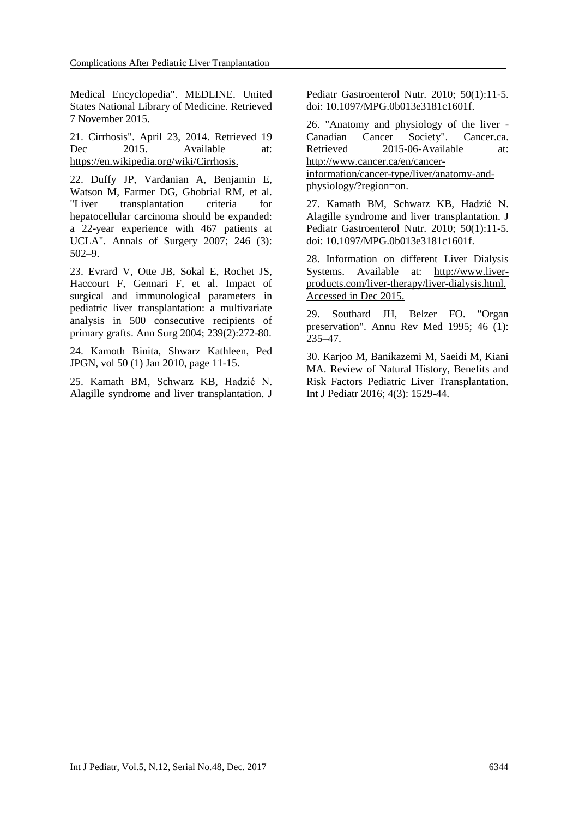Medical Encyclopedia". MEDLINE. United States National Library of Medicine. Retrieved 7 November 2015.

21. Cirrhosis". April 23, 2014. Retrieved 19 Dec 2015. Available at: https://en.wikipedia.org/wiki/Cirrhosis.

22. Duffy JP, Vardanian A, Benjamin E, Watson M, Farmer DG, Ghobrial RM, et al. "Liver transplantation criteria for hepatocellular carcinoma should be expanded: a 22-year experience with 467 patients at UCLA". Annals of Surgery 2007; 246 (3): 502–9.

23. Evrard V, Otte JB, Sokal E, Rochet JS, Haccourt F, Gennari F, et al. Impact of surgical and immunological parameters in pediatric liver transplantation: a multivariate analysis in 500 consecutive recipients of primary grafts. Ann Surg 2004; 239(2):272-80.

24. Kamoth Binita, Shwarz Kathleen, Ped JPGN, vol 50 (1) Jan 2010, page 11-15.

25. [Kamath BM,](https://www.ncbi.nlm.nih.gov/pubmed/?term=Kamath%20BM%5BAuthor%5D&cauthor=true&cauthor_uid=19949348) [Schwarz KB,](https://www.ncbi.nlm.nih.gov/pubmed/?term=Schwarz%20KB%5BAuthor%5D&cauthor=true&cauthor_uid=19949348) [Hadzić N.](https://www.ncbi.nlm.nih.gov/pubmed/?term=Hadzi%C4%87%20N%5BAuthor%5D&cauthor=true&cauthor_uid=19949348) Alagille syndrome and liver transplantation. [J](https://www.ncbi.nlm.nih.gov/pubmed/19949348)  [Pediatr Gastroenterol Nutr.](https://www.ncbi.nlm.nih.gov/pubmed/19949348) 2010; 50(1):11-5. doi: 10.1097/MPG.0b013e3181c1601f.

26. "Anatomy and physiology of the liver - Canadian Cancer Society". Cancer.ca. Retrieved 2015-06-Available at: http://www.cancer.ca/en/cancerinformation/cancer-type/liver/anatomy-and-

physiology/?region=on.

27. Kamath BM, Schwarz KB, [Hadzić N.](https://www.ncbi.nlm.nih.gov/pubmed/?term=Hadzi%C4%87%20N%5BAuthor%5D&cauthor=true&cauthor_uid=19949348) Alagille syndrome and liver transplantation. [J](https://www.ncbi.nlm.nih.gov/pubmed/19949348)  [Pediatr Gastroenterol Nutr.](https://www.ncbi.nlm.nih.gov/pubmed/19949348) 2010; 50(1):11-5. doi: 10.1097/MPG.0b013e3181c1601f.

28. Information on different Liver Dialysis Systems. Available at: http://www.liverproducts.com/liver-therapy/liver-dialysis.html. Accessed in Dec 2015.

29. Southard JH, Belzer FO. "Organ preservation". Annu Rev Med 1995; 46 (1): 235–47.

30. Karjoo M, Banikazemi M, Saeidi M, Kiani MA. Review of Natural History, Benefits and Risk Factors Pediatric Liver Transplantation. Int J Pediatr 2016; 4(3): 1529-44.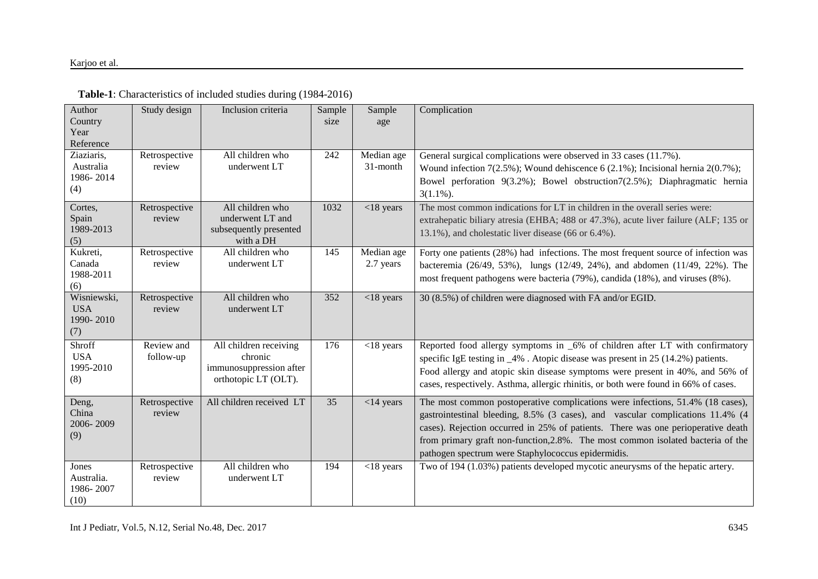| Author<br>Country<br>Year<br>Reference        | Study design            | Inclusion criteria                                                                   | Sample<br>size | Sample<br>age           | Complication                                                                                                                                                                                                                                                                                                                                                                                  |
|-----------------------------------------------|-------------------------|--------------------------------------------------------------------------------------|----------------|-------------------------|-----------------------------------------------------------------------------------------------------------------------------------------------------------------------------------------------------------------------------------------------------------------------------------------------------------------------------------------------------------------------------------------------|
| Ziaziaris,<br>Australia<br>1986-2014<br>(4)   | Retrospective<br>review | All children who<br>underwent LT                                                     | 242            | Median age<br>31-month  | General surgical complications were observed in 33 cases (11.7%).<br>Wound infection $7(2.5\%)$ ; Wound dehiscence 6 (2.1%); Incisional hernia 2(0.7%);<br>Bowel perforation 9(3.2%); Bowel obstruction7(2.5%); Diaphragmatic hernia<br>$3(1.1\%)$ .                                                                                                                                          |
| Cortes,<br>Spain<br>1989-2013<br>(5)          | Retrospective<br>review | All children who<br>underwent LT and<br>subsequently presented<br>with a DH          | 1032           | $<$ 18 years            | The most common indications for LT in children in the overall series were:<br>extrahepatic biliary atresia (EHBA; 488 or 47.3%), acute liver failure (ALF; 135 or<br>13.1%), and cholestatic liver disease (66 or 6.4%).                                                                                                                                                                      |
| Kukreti,<br>Canada<br>1988-2011<br>(6)        | Retrospective<br>review | All children who<br>underwent LT                                                     | 145            | Median age<br>2.7 years | Forty one patients (28%) had infections. The most frequent source of infection was<br>bacteremia (26/49, 53%), lungs (12/49, 24%), and abdomen (11/49, 22%). The<br>most frequent pathogens were bacteria (79%), candida (18%), and viruses (8%).                                                                                                                                             |
| Wisniewski,<br><b>USA</b><br>1990-2010<br>(7) | Retrospective<br>review | All children who<br>underwent LT                                                     | 352            | $<$ 18 years            | 30 (8.5%) of children were diagnosed with FA and/or EGID.                                                                                                                                                                                                                                                                                                                                     |
| Shroff<br><b>USA</b><br>1995-2010<br>(8)      | Review and<br>follow-up | All children receiving<br>chronic<br>immunosuppression after<br>orthotopic LT (OLT). | 176            | $<$ 18 years            | Reported food allergy symptoms in _6% of children after LT with confirmatory<br>specific IgE testing in _4%. Atopic disease was present in 25 (14.2%) patients.<br>Food allergy and atopic skin disease symptoms were present in 40%, and 56% of<br>cases, respectively. Asthma, allergic rhinitis, or both were found in 66% of cases.                                                       |
| Deng,<br>China<br>2006-2009<br>(9)            | Retrospective<br>review | All children received LT                                                             | 35             | $<$ 14 years            | The most common postoperative complications were infections, 51.4% (18 cases),<br>gastrointestinal bleeding, 8.5% (3 cases), and vascular complications 11.4% (4<br>cases). Rejection occurred in 25% of patients. There was one perioperative death<br>from primary graft non-function, 2.8%. The most common isolated bacteria of the<br>pathogen spectrum were Staphylococcus epidermidis. |
| Jones<br>Australia.<br>1986-2007<br>(10)      | Retrospective<br>review | All children who<br>underwent LT                                                     | 194            | $<$ 18 years            | Two of 194 (1.03%) patients developed mycotic aneurysms of the hepatic artery.                                                                                                                                                                                                                                                                                                                |

# **Table-1**: Characteristics of included studies during (1984-2016)